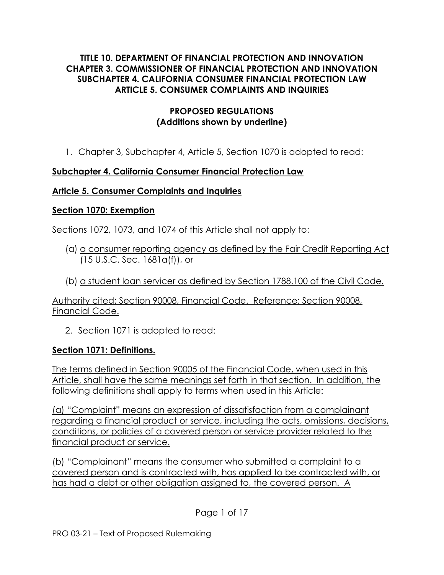#### **TITLE 10. DEPARTMENT OF FINANCIAL PROTECTION AND INNOVATION CHAPTER 3. COMMISSIONER OF FINANCIAL PROTECTION AND INNOVATION SUBCHAPTER 4. CALIFORNIA CONSUMER FINANCIAL PROTECTION LAW ARTICLE 5. CONSUMER COMPLAINTS AND INQUIRIES**

#### **PROPOSED REGULATIONS (Additions shown by underline)**

1. Chapter 3, Subchapter 4, Article 5, Section 1070 is adopted to read:

## **Subchapter 4. California Consumer Financial Protection Law**

#### **Article 5. Consumer Complaints and Inquiries**

#### **Section 1070: Exemption**

Sections 1072, 1073, and 1074 of this Article shall not apply to:

- (a) a consumer reporting agency as defined by the Fair Credit Reporting Act (15 U.S.C. Sec. 1681a(f)), or
- (b) a student loan servicer as defined by Section 1788.100 of the Civil Code.

Authority cited: Section 90008, Financial Code. Reference: Section 90008, Financial Code.

2. Section 1071 is adopted to read:

#### **Section 1071: Definitions.**

The terms defined in Section 90005 of the Financial Code, when used in this Article, shall have the same meanings set forth in that section. In addition, the following definitions shall apply to terms when used in this Article:

(a) "Complaint" means an expression of dissatisfaction from a complainant regarding a financial product or service, including the acts, omissions, decisions, conditions, or policies of a covered person or service provider related to the financial product or service.

(b) "Complainant" means the consumer who submitted a complaint to a covered person and is contracted with, has applied to be contracted with, or has had a debt or other obligation assigned to, the covered person. A

Page 1 of 17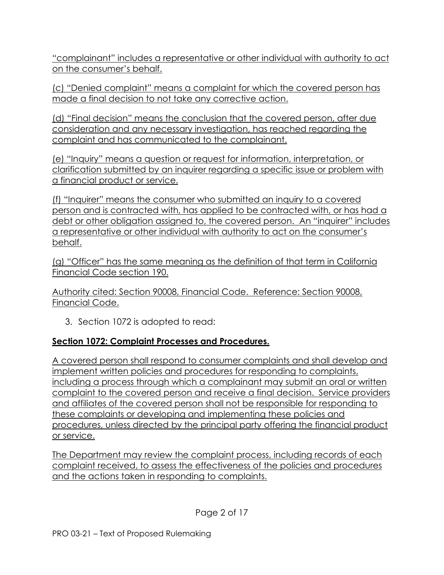"complainant" includes a representative or other individual with authority to act on the consumer's behalf.

(c) "Denied complaint" means a complaint for which the covered person has made a final decision to not take any corrective action.

(d) "Final decision" means the conclusion that the covered person, after due consideration and any necessary investigation, has reached regarding the complaint and has communicated to the complainant.

(e) "Inquiry" means a question or request for information, interpretation, or clarification submitted by an inquirer regarding a specific issue or problem with a financial product or service.

(f) "Inquirer" means the consumer who submitted an inquiry to a covered person and is contracted with, has applied to be contracted with, or has had a debt or other obligation assigned to, the covered person. An "inquirer" includes a representative or other individual with authority to act on the consumer's behalf.

(g) "Officer" has the same meaning as the definition of that term in California Financial Code section 190.

Authority cited: Section 90008, Financial Code. Reference: Section 90008, Financial Code.

3. Section 1072 is adopted to read:

# **Section 1072: Complaint Processes and Procedures.**

A covered person shall respond to consumer complaints and shall develop and implement written policies and procedures for responding to complaints, including a process through which a complainant may submit an oral or written complaint to the covered person and receive a final decision. Service providers and affiliates of the covered person shall not be responsible for responding to these complaints or developing and implementing these policies and procedures, unless directed by the principal party offering the financial product or service.

The Department may review the complaint process, including records of each complaint received, to assess the effectiveness of the policies and procedures and the actions taken in responding to complaints.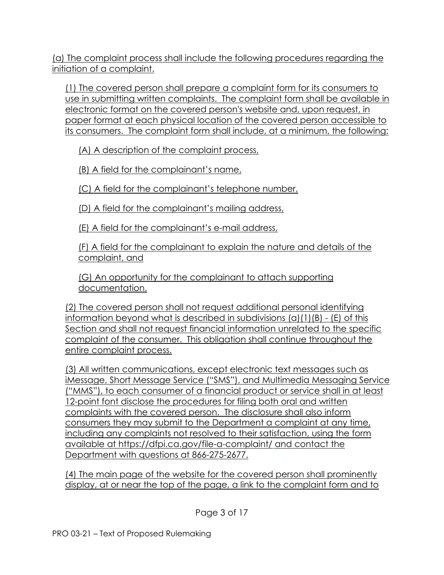(a) The complaint process shall include the following procedures regarding the initiation of a complaint.

(1) The covered person shall prepare a complaint form for its consumers to use in submitting written complaints. The complaint form shall be available in electronic format on the covered person's website and, upon request, in paper format at each physical location of the covered person accessible to its consumers. The complaint form shall include, at a minimum, the following:

(A) A description of the complaint process,

(B) A field for the complainant's name,

(C) A field for the complainant's telephone number,

(D) A field for the complainant's mailing address,

(E) A field for the complainant's e-mail address,

(F) A field for the complainant to explain the nature and details of the complaint, and

(G) An opportunity for the complainant to attach supporting documentation.

(2) The covered person shall not request additional personal identifying information beyond what is described in subdivisions (a)(1)(B) - (E) of this Section and shall not request financial information unrelated to the specific complaint of the consumer. This obligation shall continue throughout the entire complaint process.

(3) All written communications, except electronic text messages such as iMessage, Short Message Service ("SMS"), and Multimedia Messaging Service ("MMS"), to each consumer of a financial product or service shall in at least 12-point font disclose the procedures for filing both oral and written complaints with the covered person. The disclosure shall also inform consumers they may submit to the Department a complaint at any time, including any complaints not resolved to their satisfaction, using the form available at https://dfpi.ca.gov/file-a-complaint/ and contact the Department with questions at 866-275-2677.

(4) The main page of the website for the covered person shall prominently display, at or near the top of the page, a link to the complaint form and to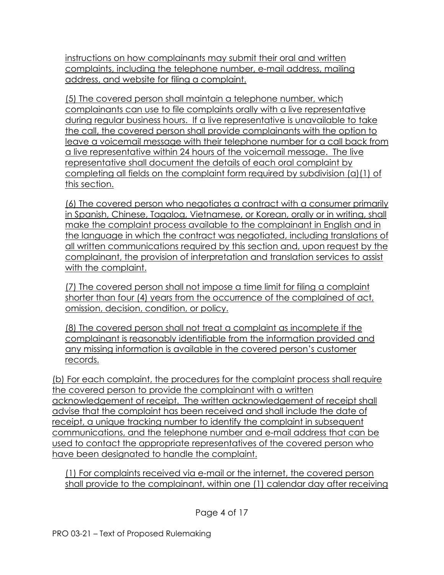instructions on how complainants may submit their oral and written complaints, including the telephone number, e-mail address, mailing address, and website for filing a complaint.

(5) The covered person shall maintain a telephone number, which complainants can use to file complaints orally with a live representative during regular business hours. If a live representative is unavailable to take the call, the covered person shall provide complainants with the option to leave a voicemail message with their telephone number for a call back from a live representative within 24 hours of the voicemail message. The live representative shall document the details of each oral complaint by completing all fields on the complaint form required by subdivision (a)(1) of this section.

(6) The covered person who negotiates a contract with a consumer primarily in Spanish, Chinese, Tagalog, Vietnamese, or Korean, orally or in writing, shall make the complaint process available to the complainant in English and in the language in which the contract was negotiated, including translations of all written communications required by this section and, upon request by the complainant, the provision of interpretation and translation services to assist with the complaint.

(7) The covered person shall not impose a time limit for filing a complaint shorter than four (4) years from the occurrence of the complained of act, omission, decision, condition, or policy.

(8) The covered person shall not treat a complaint as incomplete if the complainant is reasonably identifiable from the information provided and any missing information is available in the covered person's customer records.

(b) For each complaint, the procedures for the complaint process shall require the covered person to provide the complainant with a written acknowledgement of receipt. The written acknowledgement of receipt shall advise that the complaint has been received and shall include the date of receipt, a unique tracking number to identify the complaint in subsequent communications, and the telephone number and e-mail address that can be used to contact the appropriate representatives of the covered person who have been designated to handle the complaint.

(1) For complaints received via e-mail or the internet, the covered person shall provide to the complainant, within one (1) calendar day after receiving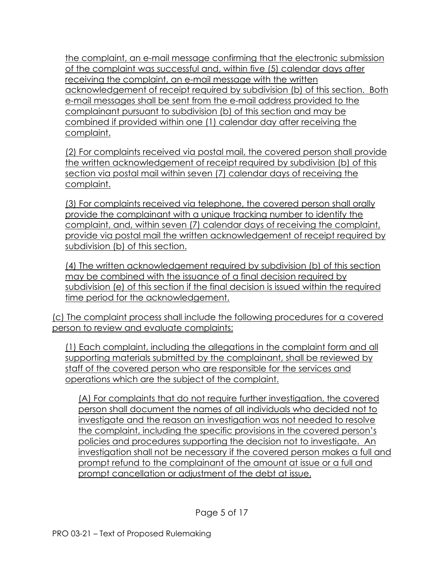the complaint, an e-mail message confirming that the electronic submission of the complaint was successful and, within five (5) calendar days after receiving the complaint, an e-mail message with the written acknowledgement of receipt required by subdivision (b) of this section. Both e-mail messages shall be sent from the e-mail address provided to the complainant pursuant to subdivision (b) of this section and may be combined if provided within one (1) calendar day after receiving the complaint.

(2) For complaints received via postal mail, the covered person shall provide the written acknowledgement of receipt required by subdivision (b) of this section via postal mail within seven (7) calendar days of receiving the complaint.

(3) For complaints received via telephone, the covered person shall orally provide the complainant with a unique tracking number to identify the complaint, and, within seven (7) calendar days of receiving the complaint, provide via postal mail the written acknowledgement of receipt required by subdivision (b) of this section.

(4) The written acknowledgement required by subdivision (b) of this section may be combined with the issuance of a final decision required by subdivision (e) of this section if the final decision is issued within the required time period for the acknowledgement.

(c) The complaint process shall include the following procedures for a covered person to review and evaluate complaints:

(1) Each complaint, including the allegations in the complaint form and all supporting materials submitted by the complainant, shall be reviewed by staff of the covered person who are responsible for the services and operations which are the subject of the complaint.

(A) For complaints that do not require further investigation, the covered person shall document the names of all individuals who decided not to investigate and the reason an investigation was not needed to resolve the complaint, including the specific provisions in the covered person's policies and procedures supporting the decision not to investigate. An investigation shall not be necessary if the covered person makes a full and prompt refund to the complainant of the amount at issue or a full and prompt cancellation or adjustment of the debt at issue.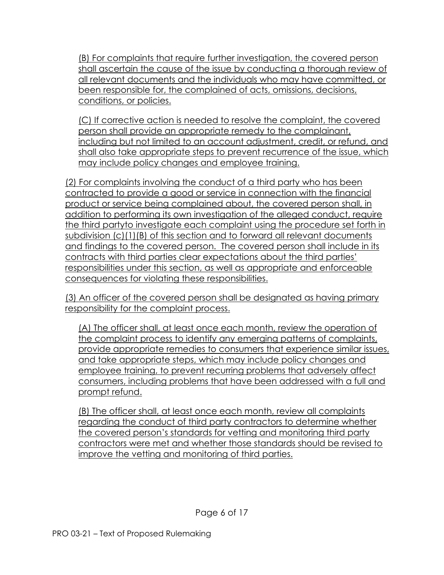(B) For complaints that require further investigation, the covered person shall ascertain the cause of the issue by conducting a thorough review of all relevant documents and the individuals who may have committed, or been responsible for, the complained of acts, omissions, decisions, conditions, or policies.

(C) If corrective action is needed to resolve the complaint, the covered person shall provide an appropriate remedy to the complainant, including but not limited to an account adjustment, credit, or refund, and shall also take appropriate steps to prevent recurrence of the issue, which may include policy changes and employee training.

(2) For complaints involving the conduct of a third party who has been contracted to provide a good or service in connection with the financial product or service being complained about, the covered person shall, in addition to performing its own investigation of the alleged conduct, require the third partyto investigate each complaint using the procedure set forth in subdivision (c)(1)(B) of this section and to forward all relevant documents and findings to the covered person. The covered person shall include in its contracts with third parties clear expectations about the third parties' responsibilities under this section, as well as appropriate and enforceable consequences for violating these responsibilities.

(3) An officer of the covered person shall be designated as having primary responsibility for the complaint process.

(A) The officer shall, at least once each month, review the operation of the complaint process to identify any emerging patterns of complaints, provide appropriate remedies to consumers that experience similar issues, and take appropriate steps, which may include policy changes and employee training, to prevent recurring problems that adversely affect consumers, including problems that have been addressed with a full and prompt refund.

(B) The officer shall, at least once each month, review all complaints regarding the conduct of third party contractors to determine whether the covered person's standards for vetting and monitoring third party contractors were met and whether those standards should be revised to improve the vetting and monitoring of third parties.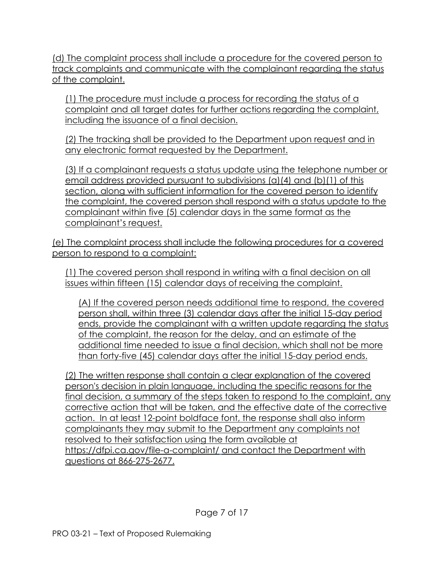(d) The complaint process shall include a procedure for the covered person to track complaints and communicate with the complainant regarding the status of the complaint.

(1) The procedure must include a process for recording the status of a complaint and all target dates for further actions regarding the complaint, including the issuance of a final decision.

(2) The tracking shall be provided to the Department upon request and in any electronic format requested by the Department.

(3) If a complainant requests a status update using the telephone number or email address provided pursuant to subdivisions (a)(4) and (b)(1) of this section, along with sufficient information for the covered person to identify the complaint, the covered person shall respond with a status update to the complainant within five (5) calendar days in the same format as the complainant's request.

(e) The complaint process shall include the following procedures for a covered person to respond to a complaint:

(1) The covered person shall respond in writing with a final decision on all issues within fifteen (15) calendar days of receiving the complaint.

(A) If the covered person needs additional time to respond, the covered person shall, within three (3) calendar days after the initial 15-day period ends, provide the complainant with a written update regarding the status of the complaint, the reason for the delay, and an estimate of the additional time needed to issue a final decision, which shall not be more than forty-five (45) calendar days after the initial 15-day period ends.

(2) The written response shall contain a clear explanation of the covered person's decision in plain language, including the specific reasons for the final decision, a summary of the steps taken to respond to the complaint, any corrective action that will be taken, and the effective date of the corrective action. In at least 12-point boldface font, the response shall also inform complainants they may submit to the Department any complaints not resolved to their satisfaction using the form available at https://dfpi.ca.gov/file-a-complaint/ and contact the Department with questions at 866-275-2677.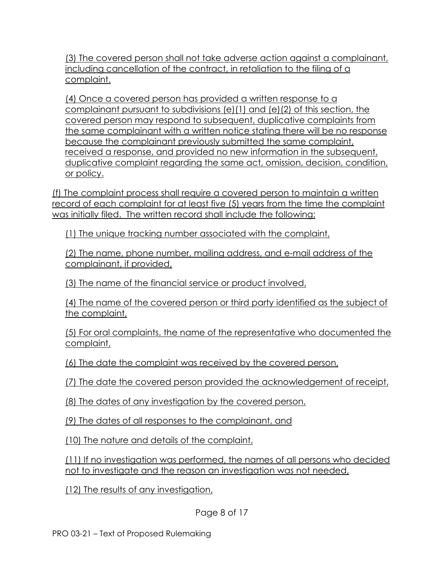(3) The covered person shall not take adverse action against a complainant, including cancellation of the contract, in retaliation to the filing of a complaint.

(4) Once a covered person has provided a written response to a complainant pursuant to subdivisions (e)(1) and (e)(2) of this section, the covered person may respond to subsequent, duplicative complaints from the same complainant with a written notice stating there will be no response because the complainant previously submitted the same complaint, received a response, and provided no new information in the subsequent, duplicative complaint regarding the same act, omission, decision, condition, or policy.

(f) The complaint process shall require a covered person to maintain a written record of each complaint for at least five (5) years from the time the complaint was initially filed. The written record shall include the following:

(1) The unique tracking number associated with the complaint,

(2) The name, phone number, mailing address, and e-mail address of the complainant, if provided,

(3) The name of the financial service or product involved,

(4) The name of the covered person or third party identified as the subject of the complaint,

(5) For oral complaints, the name of the representative who documented the complaint,

(6) The date the complaint was received by the covered person,

(7) The date the covered person provided the acknowledgement of receipt,

(8) The dates of any investigation by the covered person,

(9) The dates of all responses to the complainant, and

(10) The nature and details of the complaint,

(11) If no investigation was performed, the names of all persons who decided not to investigate and the reason an investigation was not needed,

(12) The results of any investigation,

Page 8 of 17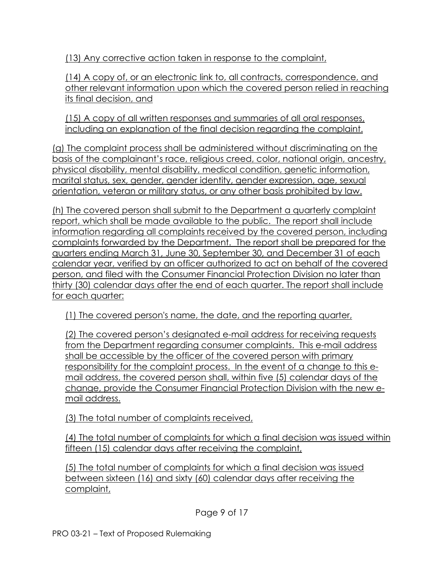(13) Any corrective action taken in response to the complaint,

(14) A copy of, or an electronic link to, all contracts, correspondence, and other relevant information upon which the covered person relied in reaching its final decision, and

(15) A copy of all written responses and summaries of all oral responses, including an explanation of the final decision regarding the complaint.

(g) The complaint process shall be administered without discriminating on the basis of the complainant's race, religious creed, color, national origin, ancestry, physical disability, mental disability, medical condition, genetic information, marital status, sex, gender, gender identity, gender expression, age, sexual orientation, veteran or military status, or any other basis prohibited by law.

(h) The covered person shall submit to the Department a quarterly complaint report, which shall be made available to the public. The report shall include information regarding all complaints received by the covered person, including complaints forwarded by the Department. The report shall be prepared for the quarters ending March 31, June 30, September 30, and December 31 of each calendar year, verified by an officer authorized to act on behalf of the covered person, and filed with the Consumer Financial Protection Division no later than thirty (30) calendar days after the end of each quarter. The report shall include for each quarter:

(1) The covered person's name, the date, and the reporting quarter,

(2) The covered person's designated e-mail address for receiving requests from the Department regarding consumer complaints. This e-mail address shall be accessible by the officer of the covered person with primary responsibility for the complaint process. In the event of a change to this email address, the covered person shall, within five (5) calendar days of the change, provide the Consumer Financial Protection Division with the new email address.

(3) The total number of complaints received,

(4) The total number of complaints for which a final decision was issued within fifteen (15) calendar days after receiving the complaint,

(5) The total number of complaints for which a final decision was issued between sixteen (16) and sixty (60) calendar days after receiving the complaint,

Page 9 of 17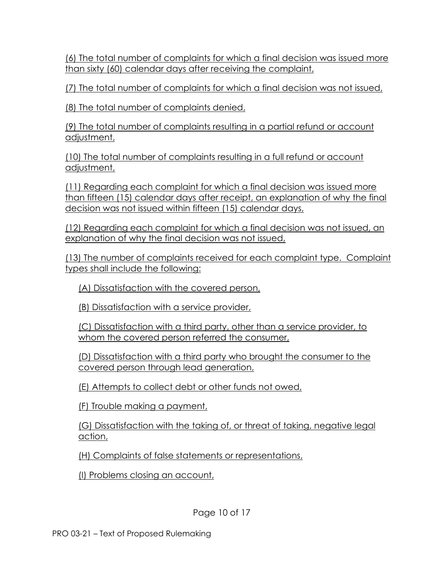(6) The total number of complaints for which a final decision was issued more than sixty (60) calendar days after receiving the complaint,

(7) The total number of complaints for which a final decision was not issued,

(8) The total number of complaints denied,

(9) The total number of complaints resulting in a partial refund or account adjustment,

(10) The total number of complaints resulting in a full refund or account adjustment,

(11) Regarding each complaint for which a final decision was issued more than fifteen (15) calendar days after receipt, an explanation of why the final decision was not issued within fifteen (15) calendar days,

(12) Regarding each complaint for which a final decision was not issued, an explanation of why the final decision was not issued,

(13) The number of complaints received for each complaint type. Complaint types shall include the following:

(A) Dissatisfaction with the covered person,

(B) Dissatisfaction with a service provider,

(C) Dissatisfaction with a third party, other than a service provider, to whom the covered person referred the consumer,

(D) Dissatisfaction with a third party who brought the consumer to the covered person through lead generation,

(E) Attempts to collect debt or other funds not owed,

(F) Trouble making a payment,

(G) Dissatisfaction with the taking of, or threat of taking, negative legal action,

(H) Complaints of false statements or representations,

(I) Problems closing an account,

Page 10 of 17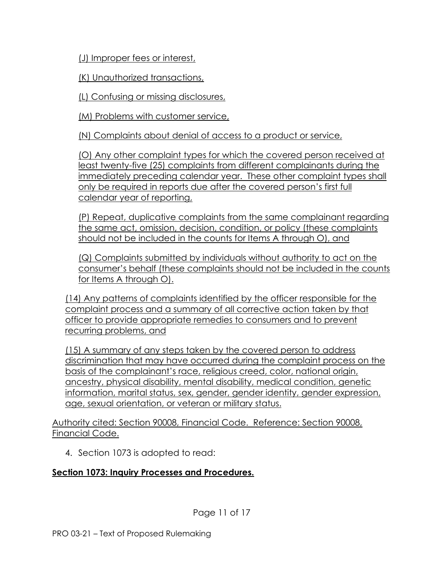(J) Improper fees or interest,

(K) Unauthorized transactions,

(L) Confusing or missing disclosures,

(M) Problems with customer service,

(N) Complaints about denial of access to a product or service,

(O) Any other complaint types for which the covered person received at least twenty-five (25) complaints from different complainants during the immediately preceding calendar year. These other complaint types shall only be required in reports due after the covered person's first full calendar year of reporting,

(P) Repeat, duplicative complaints from the same complainant regarding the same act, omission, decision, condition, or policy (these complaints should not be included in the counts for Items A through O), and

(Q) Complaints submitted by individuals without authority to act on the consumer's behalf (these complaints should not be included in the counts for Items A through O).

(14) Any patterns of complaints identified by the officer responsible for the complaint process and a summary of all corrective action taken by that officer to provide appropriate remedies to consumers and to prevent recurring problems, and

(15) A summary of any steps taken by the covered person to address discrimination that may have occurred during the complaint process on the basis of the complainant's race, religious creed, color, national origin, ancestry, physical disability, mental disability, medical condition, genetic information, marital status, sex, gender, gender identity, gender expression, age, sexual orientation, or veteran or military status.

Authority cited: Section 90008, Financial Code. Reference: Section 90008, Financial Code.

4. Section 1073 is adopted to read:

# **Section 1073: Inquiry Processes and Procedures.**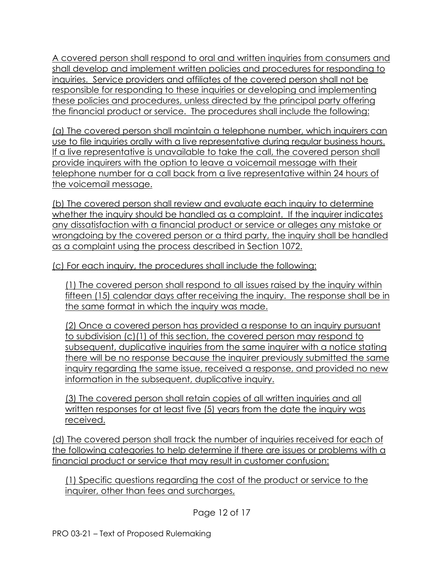A covered person shall respond to oral and written inquiries from consumers and shall develop and implement written policies and procedures for responding to inquiries. Service providers and affiliates of the covered person shall not be responsible for responding to these inquiries or developing and implementing these policies and procedures, unless directed by the principal party offering the financial product or service. The procedures shall include the following:

(a) The covered person shall maintain a telephone number, which inquirers can use to file inquiries orally with a live representative during regular business hours. If a live representative is unavailable to take the call, the covered person shall provide inquirers with the option to leave a voicemail message with their telephone number for a call back from a live representative within 24 hours of the voicemail message.

(b) The covered person shall review and evaluate each inquiry to determine whether the inquiry should be handled as a complaint. If the inquirer indicates any dissatisfaction with a financial product or service or alleges any mistake or wrongdoing by the covered person or a third party, the inquiry shall be handled as a complaint using the process described in Section 1072.

(c) For each inquiry, the procedures shall include the following:

(1) The covered person shall respond to all issues raised by the inquiry within fifteen (15) calendar days after receiving the inquiry. The response shall be in the same format in which the inquiry was made.

(2) Once a covered person has provided a response to an inquiry pursuant to subdivision (c)(1) of this section, the covered person may respond to subsequent, duplicative inquiries from the same inquirer with a notice stating there will be no response because the inquirer previously submitted the same inquiry regarding the same issue, received a response, and provided no new information in the subsequent, duplicative inquiry.

(3) The covered person shall retain copies of all written inquiries and all written responses for at least five (5) years from the date the inquiry was received.

(d) The covered person shall track the number of inquiries received for each of the following categories to help determine if there are issues or problems with a financial product or service that may result in customer confusion:

(1) Specific questions regarding the cost of the product or service to the inquirer, other than fees and surcharges,

Page 12 of 17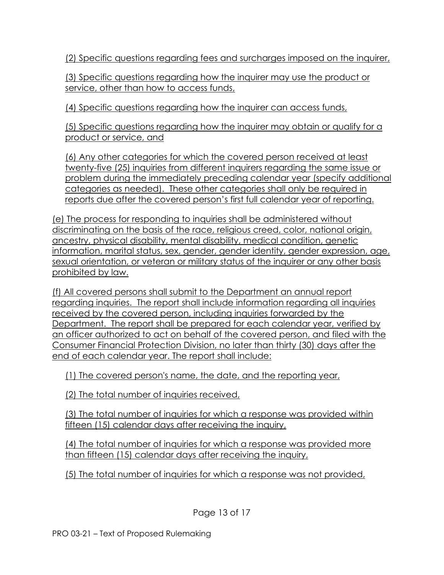(2) Specific questions regarding fees and surcharges imposed on the inquirer,

(3) Specific questions regarding how the inquirer may use the product or service, other than how to access funds,

(4) Specific questions regarding how the inquirer can access funds,

(5) Specific questions regarding how the inquirer may obtain or qualify for a product or service, and

(6) Any other categories for which the covered person received at least twenty-five (25) inquiries from different inquirers regarding the same issue or problem during the immediately preceding calendar year (specify additional categories as needed). These other categories shall only be required in reports due after the covered person's first full calendar year of reporting.

(e) The process for responding to inquiries shall be administered without discriminating on the basis of the race, religious creed, color, national origin, ancestry, physical disability, mental disability, medical condition, genetic information, marital status, sex, gender, gender identity, gender expression, age, sexual orientation, or veteran or military status of the inquirer or any other basis prohibited by law.

(f) All covered persons shall submit to the Department an annual report regarding inquiries. The report shall include information regarding all inquiries received by the covered person, including inquiries forwarded by the Department. The report shall be prepared for each calendar year, verified by an officer authorized to act on behalf of the covered person, and filed with the Consumer Financial Protection Division, no later than thirty (30) days after the end of each calendar year. The report shall include:

(1) The covered person's name, the date, and the reporting year,

(2) The total number of inquiries received,

(3) The total number of inquiries for which a response was provided within fifteen (15) calendar days after receiving the inquiry,

(4) The total number of inquiries for which a response was provided more than fifteen (15) calendar days after receiving the inquiry,

(5) The total number of inquiries for which a response was not provided,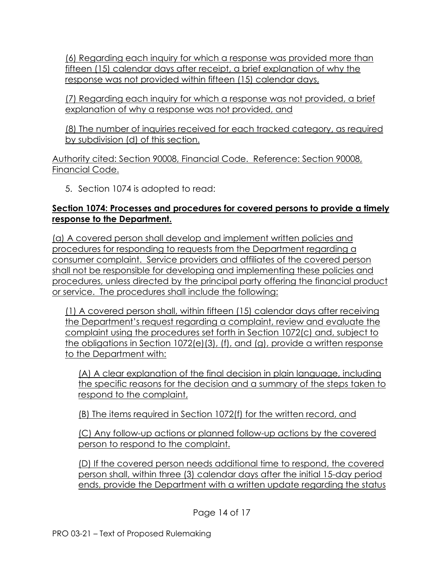(6) Regarding each inquiry for which a response was provided more than fifteen (15) calendar days after receipt, a brief explanation of why the response was not provided within fifteen (15) calendar days,

(7) Regarding each inquiry for which a response was not provided, a brief explanation of why a response was not provided, and

(8) The number of inquiries received for each tracked category, as required by subdivision (d) of this section.

Authority cited: Section 90008, Financial Code. Reference: Section 90008, Financial Code.

5. Section 1074 is adopted to read:

### **Section 1074: Processes and procedures for covered persons to provide a timely response to the Department.**

(a) A covered person shall develop and implement written policies and procedures for responding to requests from the Department regarding a consumer complaint. Service providers and affiliates of the covered person shall not be responsible for developing and implementing these policies and procedures, unless directed by the principal party offering the financial product or service. The procedures shall include the following:

(1) A covered person shall, within fifteen (15) calendar days after receiving the Department's request regarding a complaint, review and evaluate the complaint using the procedures set forth in Section 1072(c) and, subject to the obligations in Section 1072(e)(3), (f), and (g), provide a written response to the Department with:

(A) A clear explanation of the final decision in plain language, including the specific reasons for the decision and a summary of the steps taken to respond to the complaint,

(B) The items required in Section 1072(f) for the written record, and

(C) Any follow-up actions or planned follow-up actions by the covered person to respond to the complaint.

(D) If the covered person needs additional time to respond, the covered person shall, within three (3) calendar days after the initial 15-day period ends, provide the Department with a written update regarding the status

Page 14 of 17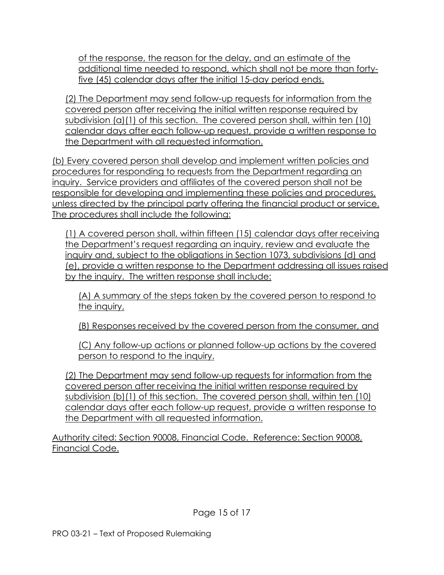of the response, the reason for the delay, and an estimate of the additional time needed to respond, which shall not be more than fortyfive (45) calendar days after the initial 15-day period ends.

(2) The Department may send follow-up requests for information from the covered person after receiving the initial written response required by subdivision (a)(1) of this section. The covered person shall, within ten (10) calendar days after each follow-up request, provide a written response to the Department with all requested information.

(b) Every covered person shall develop and implement written policies and procedures for responding to requests from the Department regarding an inquiry. Service providers and affiliates of the covered person shall not be responsible for developing and implementing these policies and procedures, unless directed by the principal party offering the financial product or service. The procedures shall include the following:

(1) A covered person shall, within fifteen (15) calendar days after receiving the Department's request regarding an inquiry, review and evaluate the inquiry and, subject to the obligations in Section 1073, subdivisions (d) and (e), provide a written response to the Department addressing all issues raised by the inquiry. The written response shall include:

(A) A summary of the steps taken by the covered person to respond to the inquiry,

(B) Responses received by the covered person from the consumer, and

(C) Any follow-up actions or planned follow-up actions by the covered person to respond to the inquiry.

(2) The Department may send follow-up requests for information from the covered person after receiving the initial written response required by subdivision (b)(1) of this section. The covered person shall, within ten (10) calendar days after each follow-up request, provide a written response to the Department with all requested information.

Authority cited: Section 90008, Financial Code. Reference: Section 90008, Financial Code.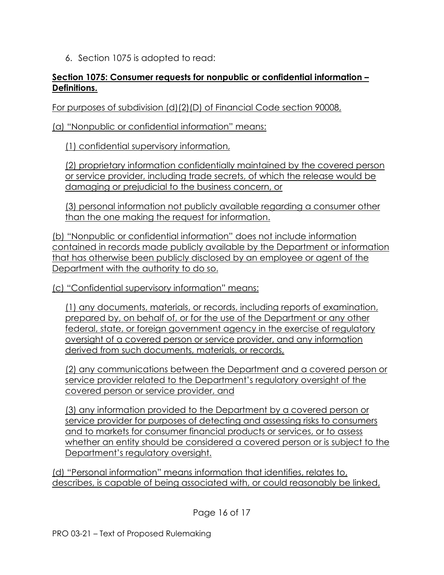6. Section 1075 is adopted to read:

#### **Section 1075: Consumer requests for nonpublic or confidential information – Definitions.**

For purposes of subdivision (d)(2)(D) of Financial Code section 90008,

(a) "Nonpublic or confidential information" means:

(1) confidential supervisory information,

(2) proprietary information confidentially maintained by the covered person or service provider, including trade secrets, of which the release would be damaging or prejudicial to the business concern, or

(3) personal information not publicly available regarding a consumer other than the one making the request for information.

(b) "Nonpublic or confidential information" does not include information contained in records made publicly available by the Department or information that has otherwise been publicly disclosed by an employee or agent of the Department with the authority to do so.

(c) "Confidential supervisory information" means:

(1) any documents, materials, or records, including reports of examination, prepared by, on behalf of, or for the use of the Department or any other federal, state, or foreign government agency in the exercise of regulatory oversight of a covered person or service provider, and any information derived from such documents, materials, or records,

(2) any communications between the Department and a covered person or service provider related to the Department's regulatory oversight of the covered person or service provider, and

(3) any information provided to the Department by a covered person or service provider for purposes of detecting and assessing risks to consumers and to markets for consumer financial products or services, or to assess whether an entity should be considered a covered person or is subject to the Department's regulatory oversight.

(d) "Personal information" means information that identifies, relates to, describes, is capable of being associated with, or could reasonably be linked,

Page 16 of 17